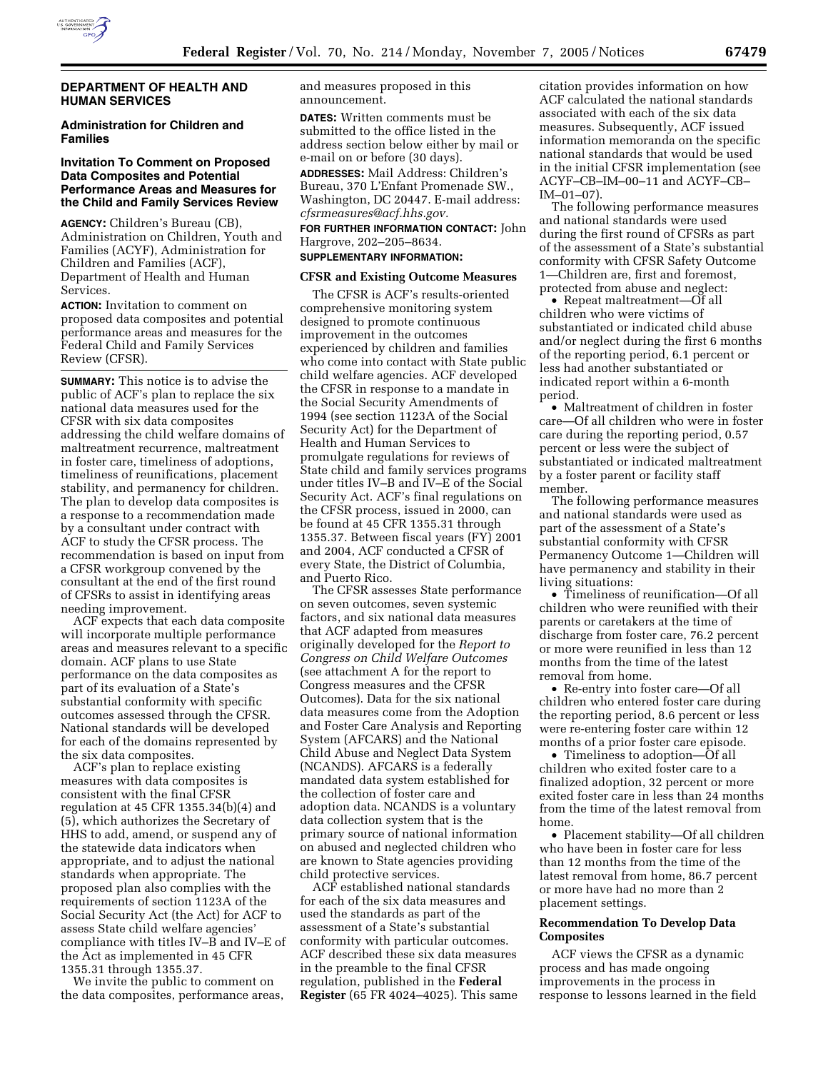

## **DEPARTMENT OF HEALTH AND HUMAN SERVICES**

## **Administration for Children and Families**

## **Invitation To Comment on Proposed Data Composites and Potential Performance Areas and Measures for the Child and Family Services Review**

**AGENCY:** Children's Bureau (CB), Administration on Children, Youth and Families (ACYF), Administration for Children and Families (ACF), Department of Health and Human **Services** 

**ACTION:** Invitation to comment on proposed data composites and potential performance areas and measures for the Federal Child and Family Services Review (CFSR).

**SUMMARY:** This notice is to advise the public of ACF's plan to replace the six national data measures used for the CFSR with six data composites addressing the child welfare domains of maltreatment recurrence, maltreatment in foster care, timeliness of adoptions, timeliness of reunifications, placement stability, and permanency for children. The plan to develop data composites is a response to a recommendation made by a consultant under contract with ACF to study the CFSR process. The recommendation is based on input from a CFSR workgroup convened by the consultant at the end of the first round of CFSRs to assist in identifying areas needing improvement.

ACF expects that each data composite will incorporate multiple performance areas and measures relevant to a specific domain. ACF plans to use State performance on the data composites as part of its evaluation of a State's substantial conformity with specific outcomes assessed through the CFSR. National standards will be developed for each of the domains represented by the six data composites.

ACF's plan to replace existing measures with data composites is consistent with the final CFSR regulation at 45 CFR 1355.34(b)(4) and (5), which authorizes the Secretary of HHS to add, amend, or suspend any of the statewide data indicators when appropriate, and to adjust the national standards when appropriate. The proposed plan also complies with the requirements of section 1123A of the Social Security Act (the Act) for ACF to assess State child welfare agencies' compliance with titles IV–B and IV–E of the Act as implemented in 45 CFR 1355.31 through 1355.37.

We invite the public to comment on the data composites, performance areas, and measures proposed in this announcement.

**DATES:** Written comments must be submitted to the office listed in the address section below either by mail or e-mail on or before (30 days).

**ADDRESSES:** Mail Address: Children's Bureau, 370 L'Enfant Promenade SW., Washington, DC 20447. E-mail address: *cfsrmeasures@acf.hhs.gov.* 

**FOR FURTHER INFORMATION CONTACT:** John Hargrove, 202–205–8634.

## **SUPPLEMENTARY INFORMATION:**

#### **CFSR and Existing Outcome Measures**

The CFSR is ACF's results-oriented comprehensive monitoring system designed to promote continuous improvement in the outcomes experienced by children and families who come into contact with State public child welfare agencies. ACF developed the CFSR in response to a mandate in the Social Security Amendments of 1994 (see section 1123A of the Social Security Act) for the Department of Health and Human Services to promulgate regulations for reviews of State child and family services programs under titles IV–B and IV–E of the Social Security Act. ACF's final regulations on the CFSR process, issued in 2000, can be found at 45 CFR 1355.31 through 1355.37. Between fiscal years (FY) 2001 and 2004, ACF conducted a CFSR of every State, the District of Columbia, and Puerto Rico.

The CFSR assesses State performance on seven outcomes, seven systemic factors, and six national data measures that ACF adapted from measures originally developed for the *Report to Congress on Child Welfare Outcomes*  (see attachment A for the report to Congress measures and the CFSR Outcomes). Data for the six national data measures come from the Adoption and Foster Care Analysis and Reporting System (AFCARS) and the National Child Abuse and Neglect Data System (NCANDS). AFCARS is a federally mandated data system established for the collection of foster care and adoption data. NCANDS is a voluntary data collection system that is the primary source of national information on abused and neglected children who are known to State agencies providing child protective services.

ACF established national standards for each of the six data measures and used the standards as part of the assessment of a State's substantial conformity with particular outcomes. ACF described these six data measures in the preamble to the final CFSR regulation, published in the **Federal Register** (65 FR 4024–4025). This same citation provides information on how ACF calculated the national standards associated with each of the six data measures. Subsequently, ACF issued information memoranda on the specific national standards that would be used in the initial CFSR implementation (see ACYF–CB–IM–00–11 and ACYF–CB–  $IM-01-07$ ).

The following performance measures and national standards were used during the first round of CFSRs as part of the assessment of a State's substantial conformity with CFSR Safety Outcome 1—Children are, first and foremost, protected from abuse and neglect:

• Repeat maltreatment—Of all children who were victims of substantiated or indicated child abuse and/or neglect during the first 6 months of the reporting period, 6.1 percent or less had another substantiated or indicated report within a 6-month period.

• Maltreatment of children in foster care—Of all children who were in foster care during the reporting period, 0.57 percent or less were the subject of substantiated or indicated maltreatment by a foster parent or facility staff member.

The following performance measures and national standards were used as part of the assessment of a State's substantial conformity with CFSR Permanency Outcome 1—Children will have permanency and stability in their living situations:

• Timeliness of reunification—Of all children who were reunified with their parents or caretakers at the time of discharge from foster care, 76.2 percent or more were reunified in less than 12 months from the time of the latest removal from home.

• Re-entry into foster care—Of all children who entered foster care during the reporting period, 8.6 percent or less were re-entering foster care within 12 months of a prior foster care episode.

• Timeliness to adoption—Of all children who exited foster care to a finalized adoption, 32 percent or more exited foster care in less than 24 months from the time of the latest removal from home.

• Placement stability—Of all children who have been in foster care for less than 12 months from the time of the latest removal from home, 86.7 percent or more have had no more than 2 placement settings.

## **Recommendation To Develop Data Composites**

ACF views the CFSR as a dynamic process and has made ongoing improvements in the process in response to lessons learned in the field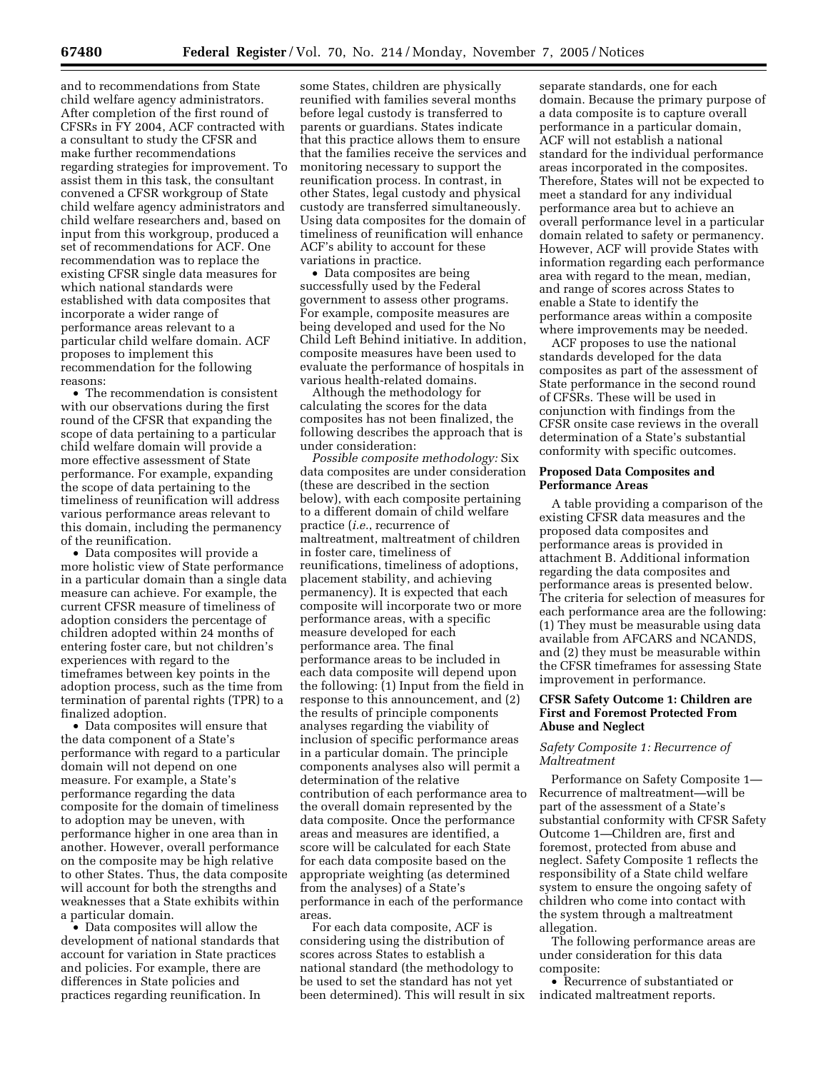and to recommendations from State child welfare agency administrators. After completion of the first round of CFSRs in FY 2004, ACF contracted with a consultant to study the CFSR and make further recommendations regarding strategies for improvement. To assist them in this task, the consultant convened a CFSR workgroup of State child welfare agency administrators and child welfare researchers and, based on input from this workgroup, produced a set of recommendations for ACF. One recommendation was to replace the existing CFSR single data measures for which national standards were established with data composites that incorporate a wider range of performance areas relevant to a particular child welfare domain. ACF proposes to implement this recommendation for the following reasons:

• The recommendation is consistent with our observations during the first round of the CFSR that expanding the scope of data pertaining to a particular child welfare domain will provide a more effective assessment of State performance. For example, expanding the scope of data pertaining to the timeliness of reunification will address various performance areas relevant to this domain, including the permanency of the reunification.

• Data composites will provide a more holistic view of State performance in a particular domain than a single data measure can achieve. For example, the current CFSR measure of timeliness of adoption considers the percentage of children adopted within 24 months of entering foster care, but not children's experiences with regard to the timeframes between key points in the adoption process, such as the time from termination of parental rights (TPR) to a finalized adoption.

• Data composites will ensure that the data component of a State's performance with regard to a particular domain will not depend on one measure. For example, a State's performance regarding the data composite for the domain of timeliness to adoption may be uneven, with performance higher in one area than in another. However, overall performance on the composite may be high relative to other States. Thus, the data composite will account for both the strengths and weaknesses that a State exhibits within a particular domain.

• Data composites will allow the development of national standards that account for variation in State practices and policies. For example, there are differences in State policies and practices regarding reunification. In

some States, children are physically reunified with families several months before legal custody is transferred to parents or guardians. States indicate that this practice allows them to ensure that the families receive the services and monitoring necessary to support the reunification process. In contrast, in other States, legal custody and physical custody are transferred simultaneously. Using data composites for the domain of timeliness of reunification will enhance ACF's ability to account for these variations in practice.

• Data composites are being successfully used by the Federal government to assess other programs. For example, composite measures are being developed and used for the No Child Left Behind initiative. In addition, composite measures have been used to evaluate the performance of hospitals in various health-related domains.

Although the methodology for calculating the scores for the data composites has not been finalized, the following describes the approach that is under consideration:

*Possible composite methodology:* Six data composites are under consideration (these are described in the section below), with each composite pertaining to a different domain of child welfare practice (*i.e.*, recurrence of maltreatment, maltreatment of children in foster care, timeliness of reunifications, timeliness of adoptions, placement stability, and achieving permanency). It is expected that each composite will incorporate two or more performance areas, with a specific measure developed for each performance area. The final performance areas to be included in each data composite will depend upon the following: (1) Input from the field in response to this announcement, and (2) the results of principle components analyses regarding the viability of inclusion of specific performance areas in a particular domain. The principle components analyses also will permit a determination of the relative contribution of each performance area to the overall domain represented by the data composite. Once the performance areas and measures are identified, a score will be calculated for each State for each data composite based on the appropriate weighting (as determined from the analyses) of a State's performance in each of the performance areas.

For each data composite, ACF is considering using the distribution of scores across States to establish a national standard (the methodology to be used to set the standard has not yet been determined). This will result in six

separate standards, one for each domain. Because the primary purpose of a data composite is to capture overall performance in a particular domain, ACF will not establish a national standard for the individual performance areas incorporated in the composites. Therefore, States will not be expected to meet a standard for any individual performance area but to achieve an overall performance level in a particular domain related to safety or permanency. However, ACF will provide States with information regarding each performance area with regard to the mean, median, and range of scores across States to enable a State to identify the performance areas within a composite where improvements may be needed.

ACF proposes to use the national standards developed for the data composites as part of the assessment of State performance in the second round of CFSRs. These will be used in conjunction with findings from the CFSR onsite case reviews in the overall determination of a State's substantial conformity with specific outcomes.

#### **Proposed Data Composites and Performance Areas**

A table providing a comparison of the existing CFSR data measures and the proposed data composites and performance areas is provided in attachment B. Additional information regarding the data composites and performance areas is presented below. The criteria for selection of measures for each performance area are the following: (1) They must be measurable using data available from AFCARS and NCANDS, and (2) they must be measurable within the CFSR timeframes for assessing State improvement in performance.

## **CFSR Safety Outcome 1: Children are First and Foremost Protected From Abuse and Neglect**

## *Safety Composite 1: Recurrence of Maltreatment*

Performance on Safety Composite 1— Recurrence of maltreatment—will be part of the assessment of a State's substantial conformity with CFSR Safety Outcome 1—Children are, first and foremost, protected from abuse and neglect. Safety Composite 1 reflects the responsibility of a State child welfare system to ensure the ongoing safety of children who come into contact with the system through a maltreatment allegation.

The following performance areas are under consideration for this data composite:

• Recurrence of substantiated or indicated maltreatment reports.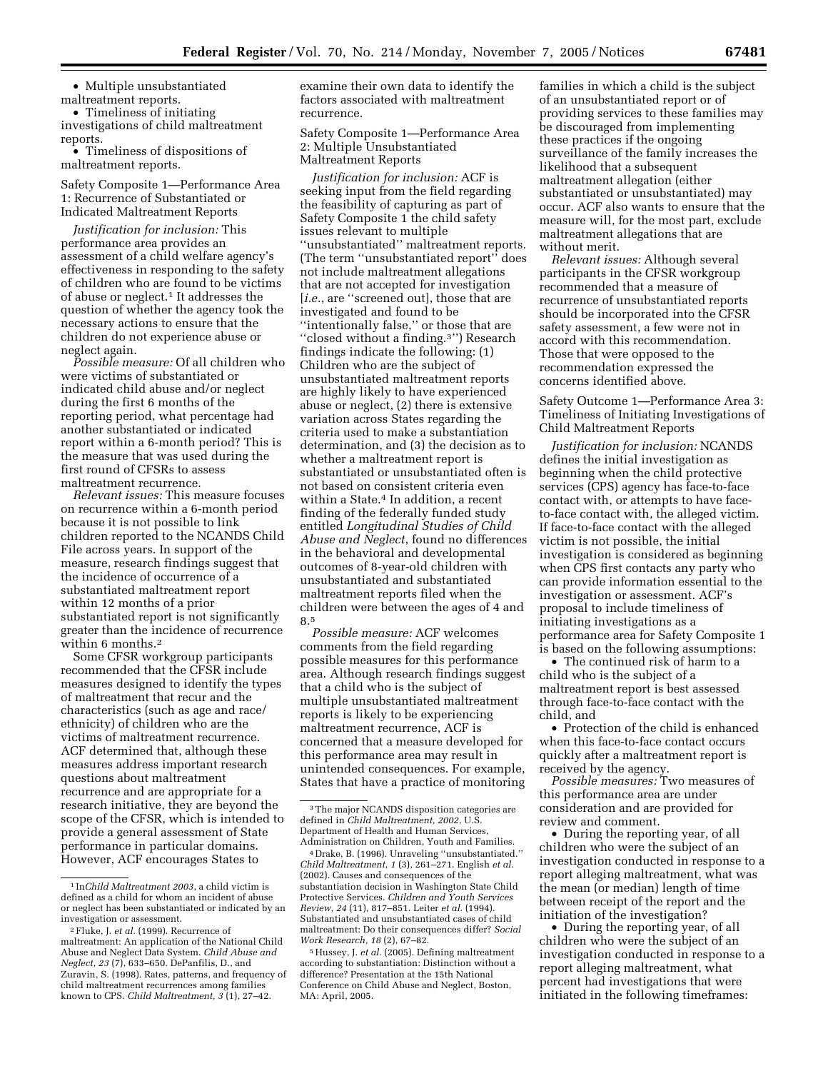• Multiple unsubstantiated maltreatment reports.

• Timeliness of initiating investigations of child maltreatment reports.

• Timeliness of dispositions of maltreatment reports.

Safety Composite 1—Performance Area 1: Recurrence of Substantiated or Indicated Maltreatment Reports

*Justification for inclusion:* This performance area provides an assessment of a child welfare agency's effectiveness in responding to the safety of children who are found to be victims of abuse or neglect.1 It addresses the question of whether the agency took the necessary actions to ensure that the children do not experience abuse or neglect again.

*Possible measure:* Of all children who were victims of substantiated or indicated child abuse and/or neglect during the first 6 months of the reporting period, what percentage had another substantiated or indicated report within a 6-month period? This is the measure that was used during the first round of CFSRs to assess maltreatment recurrence.

*Relevant issues:* This measure focuses on recurrence within a 6-month period because it is not possible to link children reported to the NCANDS Child File across years. In support of the measure, research findings suggest that the incidence of occurrence of a substantiated maltreatment report within 12 months of a prior substantiated report is not significantly greater than the incidence of recurrence within 6 months.2

Some CFSR workgroup participants recommended that the CFSR include measures designed to identify the types of maltreatment that recur and the characteristics (such as age and race/ ethnicity) of children who are the victims of maltreatment recurrence. ACF determined that, although these measures address important research questions about maltreatment recurrence and are appropriate for a research initiative, they are beyond the scope of the CFSR, which is intended to provide a general assessment of State performance in particular domains. However, ACF encourages States to

examine their own data to identify the factors associated with maltreatment recurrence.

Safety Composite 1—Performance Area 2: Multiple Unsubstantiated Maltreatment Reports

*Justification for inclusion:* ACF is seeking input from the field regarding the feasibility of capturing as part of Safety Composite 1 the child safety issues relevant to multiple ''unsubstantiated'' maltreatment reports. (The term ''unsubstantiated report'' does not include maltreatment allegations that are not accepted for investigation [*i.e.*, are ''screened out], those that are investigated and found to be ''intentionally false,'' or those that are ''closed without a finding.3'') Research findings indicate the following: (1) Children who are the subject of unsubstantiated maltreatment reports are highly likely to have experienced abuse or neglect, (2) there is extensive variation across States regarding the criteria used to make a substantiation determination, and (3) the decision as to whether a maltreatment report is substantiated or unsubstantiated often is not based on consistent criteria even within a State.4 In addition, a recent finding of the federally funded study entitled *Longitudinal Studies of Child Abuse and Neglect*, found no differences in the behavioral and developmental outcomes of 8-year-old children with unsubstantiated and substantiated maltreatment reports filed when the children were between the ages of 4 and 8.5

*Possible measure:* ACF welcomes comments from the field regarding possible measures for this performance area. Although research findings suggest that a child who is the subject of multiple unsubstantiated maltreatment reports is likely to be experiencing maltreatment recurrence, ACF is concerned that a measure developed for this performance area may result in unintended consequences. For example, States that have a practice of monitoring

families in which a child is the subject of an unsubstantiated report or of providing services to these families may be discouraged from implementing these practices if the ongoing surveillance of the family increases the likelihood that a subsequent maltreatment allegation (either substantiated or unsubstantiated) may occur. ACF also wants to ensure that the measure will, for the most part, exclude maltreatment allegations that are without merit.

*Relevant issues:* Although several participants in the CFSR workgroup recommended that a measure of recurrence of unsubstantiated reports should be incorporated into the CFSR safety assessment, a few were not in accord with this recommendation. Those that were opposed to the recommendation expressed the concerns identified above.

Safety Outcome 1—Performance Area 3: Timeliness of Initiating Investigations of Child Maltreatment Reports

*Justification for inclusion:* NCANDS defines the initial investigation as beginning when the child protective services (CPS) agency has face-to-face contact with, or attempts to have faceto-face contact with, the alleged victim. If face-to-face contact with the alleged victim is not possible, the initial investigation is considered as beginning when CPS first contacts any party who can provide information essential to the investigation or assessment. ACF's proposal to include timeliness of initiating investigations as a performance area for Safety Composite 1 is based on the following assumptions:

• The continued risk of harm to a child who is the subject of a maltreatment report is best assessed through face-to-face contact with the child, and

• Protection of the child is enhanced when this face-to-face contact occurs quickly after a maltreatment report is received by the agency.

*Possible measures:* Two measures of this performance area are under consideration and are provided for review and comment.

• During the reporting year, of all children who were the subject of an investigation conducted in response to a report alleging maltreatment, what was the mean (or median) length of time between receipt of the report and the initiation of the investigation?

• During the reporting year, of all children who were the subject of an investigation conducted in response to a report alleging maltreatment, what percent had investigations that were initiated in the following timeframes:

<sup>1</sup> In*Child Maltreatment 2003*, a child victim is defined as a child for whom an incident of abuse or neglect has been substantiated or indicated by an investigation or assessment.

<sup>2</sup>Fluke, J. *et al.* (1999). Recurrence of maltreatment: An application of the National Child Abuse and Neglect Data System. *Child Abuse and Neglect, 23* (7), 633–650. DePanfilis, D., and Zuravin, S. (1998). Rates, patterns, and frequency of child maltreatment recurrences among families known to CPS. *Child Maltreatment, 3* (1), 27–42.

<sup>3</sup>The major NCANDS disposition categories are defined in *Child Maltreatment, 2002*, U.S. Department of Health and Human Services, Administration on Children, Youth and Families.

<sup>4</sup> Drake, B. (1996). Unraveling ''unsubstantiated.'' *Child Maltreatment*, *1* (3), 261–271. English *et al.*  (2002). Causes and consequences of the substantiation decision in Washington State Child Protective Services. *Children and Youth Services Review, 24* (11), 817–851. Leiter *et al.* (1994). Substantiated and unsubstantiated cases of child maltreatment: Do their consequences differ? *Social Work Research, 18* (2), 67–82.

<sup>&</sup>lt;sup>5</sup> Hussey, J. *et al.* (2005). Defining maltreatment according to substantiation: Distinction without a difference? Presentation at the 15th National Conference on Child Abuse and Neglect, Boston, MA: April, 2005.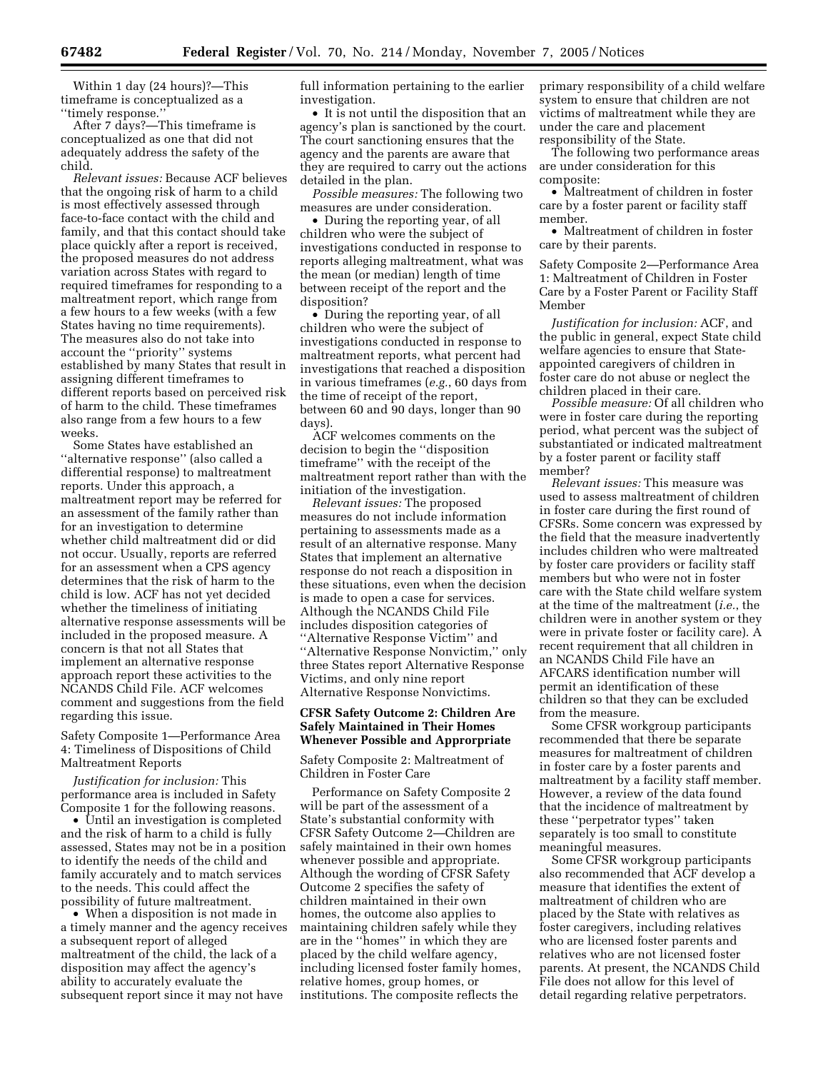Within 1 day (24 hours)?—This timeframe is conceptualized as a ''timely response.''

After 7 days?—This timeframe is conceptualized as one that did not adequately address the safety of the child.

*Relevant issues:* Because ACF believes that the ongoing risk of harm to a child is most effectively assessed through face-to-face contact with the child and family, and that this contact should take place quickly after a report is received, the proposed measures do not address variation across States with regard to required timeframes for responding to a maltreatment report, which range from a few hours to a few weeks (with a few States having no time requirements). The measures also do not take into account the ''priority'' systems established by many States that result in assigning different timeframes to different reports based on perceived risk of harm to the child. These timeframes also range from a few hours to a few weeks.

Some States have established an ''alternative response'' (also called a differential response) to maltreatment reports. Under this approach, a maltreatment report may be referred for an assessment of the family rather than for an investigation to determine whether child maltreatment did or did not occur. Usually, reports are referred for an assessment when a CPS agency determines that the risk of harm to the child is low. ACF has not yet decided whether the timeliness of initiating alternative response assessments will be included in the proposed measure. A concern is that not all States that implement an alternative response approach report these activities to the NCANDS Child File. ACF welcomes comment and suggestions from the field regarding this issue.

Safety Composite 1—Performance Area 4: Timeliness of Dispositions of Child Maltreatment Reports

*Justification for inclusion:* This performance area is included in Safety Composite 1 for the following reasons.

• Until an investigation is completed and the risk of harm to a child is fully assessed, States may not be in a position to identify the needs of the child and family accurately and to match services to the needs. This could affect the possibility of future maltreatment.

• When a disposition is not made in a timely manner and the agency receives a subsequent report of alleged maltreatment of the child, the lack of a disposition may affect the agency's ability to accurately evaluate the subsequent report since it may not have

full information pertaining to the earlier investigation.

• It is not until the disposition that an agency's plan is sanctioned by the court. The court sanctioning ensures that the agency and the parents are aware that they are required to carry out the actions detailed in the plan.

*Possible measures:* The following two measures are under consideration.

• During the reporting year, of all children who were the subject of investigations conducted in response to reports alleging maltreatment, what was the mean (or median) length of time between receipt of the report and the disposition?

• During the reporting year, of all children who were the subject of investigations conducted in response to maltreatment reports, what percent had investigations that reached a disposition in various timeframes (*e.g.*, 60 days from the time of receipt of the report, between 60 and 90 days, longer than 90 days).

ACF welcomes comments on the decision to begin the ''disposition timeframe'' with the receipt of the maltreatment report rather than with the initiation of the investigation.

*Relevant issues:* The proposed measures do not include information pertaining to assessments made as a result of an alternative response. Many States that implement an alternative response do not reach a disposition in these situations, even when the decision is made to open a case for services. Although the NCANDS Child File includes disposition categories of ''Alternative Response Victim'' and ''Alternative Response Nonvictim,'' only three States report Alternative Response Victims, and only nine report Alternative Response Nonvictims.

## **CFSR Safety Outcome 2: Children Are Safely Maintained in Their Homes Whenever Possible and Approrpriate**

Safety Composite 2: Maltreatment of Children in Foster Care

Performance on Safety Composite 2 will be part of the assessment of a State's substantial conformity with CFSR Safety Outcome 2—Children are safely maintained in their own homes whenever possible and appropriate. Although the wording of CFSR Safety Outcome 2 specifies the safety of children maintained in their own homes, the outcome also applies to maintaining children safely while they are in the ''homes'' in which they are placed by the child welfare agency, including licensed foster family homes, relative homes, group homes, or institutions. The composite reflects the

primary responsibility of a child welfare system to ensure that children are not victims of maltreatment while they are under the care and placement responsibility of the State.

The following two performance areas are under consideration for this composite:

• Maltreatment of children in foster care by a foster parent or facility staff member.

• Maltreatment of children in foster care by their parents.

Safety Composite 2—Performance Area 1: Maltreatment of Children in Foster Care by a Foster Parent or Facility Staff Member

*Justification for inclusion:* ACF, and the public in general, expect State child welfare agencies to ensure that Stateappointed caregivers of children in foster care do not abuse or neglect the children placed in their care.

*Possible measure:* Of all children who were in foster care during the reporting period, what percent was the subject of substantiated or indicated maltreatment by a foster parent or facility staff member?

*Relevant issues:* This measure was used to assess maltreatment of children in foster care during the first round of CFSRs. Some concern was expressed by the field that the measure inadvertently includes children who were maltreated by foster care providers or facility staff members but who were not in foster care with the State child welfare system at the time of the maltreatment (*i.e.*, the children were in another system or they were in private foster or facility care). A recent requirement that all children in an NCANDS Child File have an AFCARS identification number will permit an identification of these children so that they can be excluded from the measure.

Some CFSR workgroup participants recommended that there be separate measures for maltreatment of children in foster care by a foster parents and maltreatment by a facility staff member. However, a review of the data found that the incidence of maltreatment by these ''perpetrator types'' taken separately is too small to constitute meaningful measures.

Some CFSR workgroup participants also recommended that ACF develop a measure that identifies the extent of maltreatment of children who are placed by the State with relatives as foster caregivers, including relatives who are licensed foster parents and relatives who are not licensed foster parents. At present, the NCANDS Child File does not allow for this level of detail regarding relative perpetrators.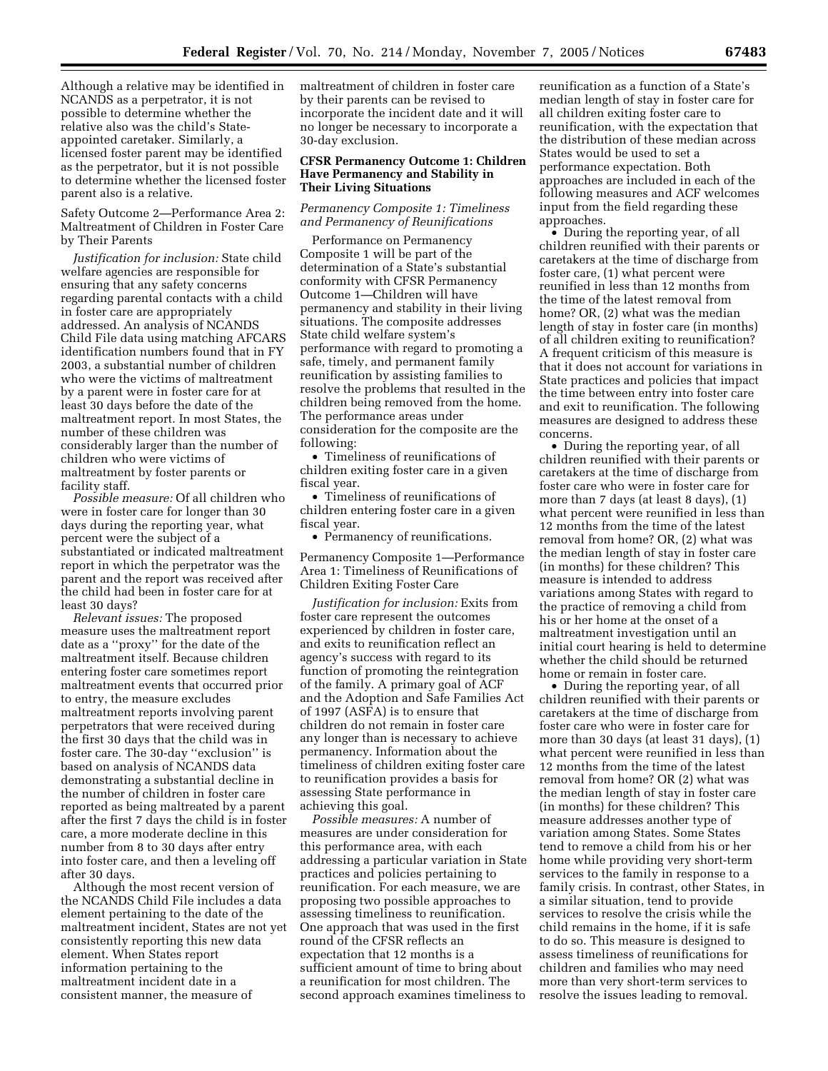Although a relative may be identified in NCANDS as a perpetrator, it is not possible to determine whether the relative also was the child's Stateappointed caretaker. Similarly, a licensed foster parent may be identified as the perpetrator, but it is not possible to determine whether the licensed foster parent also is a relative.

Safety Outcome 2—Performance Area 2: Maltreatment of Children in Foster Care by Their Parents

*Justification for inclusion:* State child welfare agencies are responsible for ensuring that any safety concerns regarding parental contacts with a child in foster care are appropriately addressed. An analysis of NCANDS Child File data using matching AFCARS identification numbers found that in FY 2003, a substantial number of children who were the victims of maltreatment by a parent were in foster care for at least 30 days before the date of the maltreatment report. In most States, the number of these children was considerably larger than the number of children who were victims of maltreatment by foster parents or facility staff.

*Possible measure:* Of all children who were in foster care for longer than 30 days during the reporting year, what percent were the subject of a substantiated or indicated maltreatment report in which the perpetrator was the parent and the report was received after the child had been in foster care for at least 30 days?

*Relevant issues:* The proposed measure uses the maltreatment report date as a ''proxy'' for the date of the maltreatment itself. Because children entering foster care sometimes report maltreatment events that occurred prior to entry, the measure excludes maltreatment reports involving parent perpetrators that were received during the first 30 days that the child was in foster care. The 30-day ''exclusion'' is based on analysis of NCANDS data demonstrating a substantial decline in the number of children in foster care reported as being maltreated by a parent after the first 7 days the child is in foster care, a more moderate decline in this number from 8 to 30 days after entry into foster care, and then a leveling off after 30 days.

Although the most recent version of the NCANDS Child File includes a data element pertaining to the date of the maltreatment incident, States are not yet consistently reporting this new data element. When States report information pertaining to the maltreatment incident date in a consistent manner, the measure of

maltreatment of children in foster care by their parents can be revised to incorporate the incident date and it will no longer be necessary to incorporate a 30-day exclusion.

## **CFSR Permanency Outcome 1: Children Have Permanency and Stability in Their Living Situations**

## *Permanency Composite 1: Timeliness and Permanency of Reunifications*

Performance on Permanency Composite 1 will be part of the determination of a State's substantial conformity with CFSR Permanency Outcome 1—Children will have permanency and stability in their living situations. The composite addresses State child welfare system's performance with regard to promoting a safe, timely, and permanent family reunification by assisting families to resolve the problems that resulted in the children being removed from the home. The performance areas under consideration for the composite are the following:

• Timeliness of reunifications of children exiting foster care in a given fiscal year.

• Timeliness of reunifications of children entering foster care in a given fiscal year.

• Permanency of reunifications.

Permanency Composite 1—Performance Area 1: Timeliness of Reunifications of Children Exiting Foster Care

*Justification for inclusion:* Exits from foster care represent the outcomes experienced by children in foster care, and exits to reunification reflect an agency's success with regard to its function of promoting the reintegration of the family. A primary goal of ACF and the Adoption and Safe Families Act of 1997 (ASFA) is to ensure that children do not remain in foster care any longer than is necessary to achieve permanency. Information about the timeliness of children exiting foster care to reunification provides a basis for assessing State performance in achieving this goal.

*Possible measures:* A number of measures are under consideration for this performance area, with each addressing a particular variation in State practices and policies pertaining to reunification. For each measure, we are proposing two possible approaches to assessing timeliness to reunification. One approach that was used in the first round of the CFSR reflects an expectation that 12 months is a sufficient amount of time to bring about a reunification for most children. The second approach examines timeliness to reunification as a function of a State's median length of stay in foster care for all children exiting foster care to reunification, with the expectation that the distribution of these median across States would be used to set a performance expectation. Both approaches are included in each of the following measures and ACF welcomes input from the field regarding these approaches.

• During the reporting year, of all children reunified with their parents or caretakers at the time of discharge from foster care, (1) what percent were reunified in less than 12 months from the time of the latest removal from home? OR, (2) what was the median length of stay in foster care (in months) of all children exiting to reunification? A frequent criticism of this measure is that it does not account for variations in State practices and policies that impact the time between entry into foster care and exit to reunification. The following measures are designed to address these concerns.

• During the reporting year, of all children reunified with their parents or caretakers at the time of discharge from foster care who were in foster care for more than 7 days (at least 8 days), (1) what percent were reunified in less than 12 months from the time of the latest removal from home? OR, (2) what was the median length of stay in foster care (in months) for these children? This measure is intended to address variations among States with regard to the practice of removing a child from his or her home at the onset of a maltreatment investigation until an initial court hearing is held to determine whether the child should be returned home or remain in foster care.

• During the reporting year, of all children reunified with their parents or caretakers at the time of discharge from foster care who were in foster care for more than 30 days (at least 31 days), (1) what percent were reunified in less than 12 months from the time of the latest removal from home? OR (2) what was the median length of stay in foster care (in months) for these children? This measure addresses another type of variation among States. Some States tend to remove a child from his or her home while providing very short-term services to the family in response to a family crisis. In contrast, other States, in a similar situation, tend to provide services to resolve the crisis while the child remains in the home, if it is safe to do so. This measure is designed to assess timeliness of reunifications for children and families who may need more than very short-term services to resolve the issues leading to removal.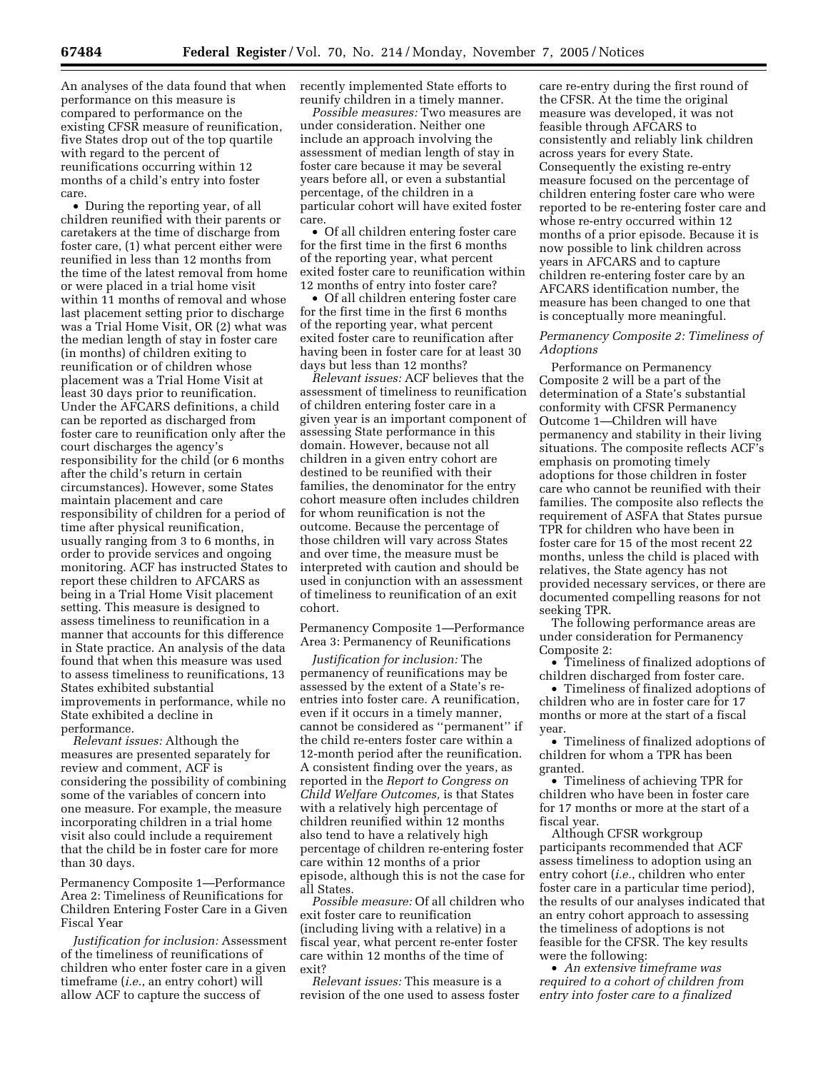An analyses of the data found that when performance on this measure is compared to performance on the existing CFSR measure of reunification, five States drop out of the top quartile with regard to the percent of reunifications occurring within 12 months of a child's entry into foster care.

• During the reporting year, of all children reunified with their parents or caretakers at the time of discharge from foster care, (1) what percent either were reunified in less than 12 months from the time of the latest removal from home or were placed in a trial home visit within 11 months of removal and whose last placement setting prior to discharge was a Trial Home Visit, OR (2) what was the median length of stay in foster care (in months) of children exiting to reunification or of children whose placement was a Trial Home Visit at least 30 days prior to reunification. Under the AFCARS definitions, a child can be reported as discharged from foster care to reunification only after the court discharges the agency's responsibility for the child (or 6 months after the child's return in certain circumstances). However, some States maintain placement and care responsibility of children for a period of time after physical reunification, usually ranging from 3 to 6 months, in order to provide services and ongoing monitoring. ACF has instructed States to report these children to AFCARS as being in a Trial Home Visit placement setting. This measure is designed to assess timeliness to reunification in a manner that accounts for this difference in State practice. An analysis of the data found that when this measure was used to assess timeliness to reunifications, 13 States exhibited substantial improvements in performance, while no State exhibited a decline in performance.

*Relevant issues:* Although the measures are presented separately for review and comment, ACF is considering the possibility of combining some of the variables of concern into one measure. For example, the measure incorporating children in a trial home visit also could include a requirement that the child be in foster care for more than 30 days.

Permanency Composite 1—Performance Area 2: Timeliness of Reunifications for Children Entering Foster Care in a Given Fiscal Year

*Justification for inclusion:* Assessment of the timeliness of reunifications of children who enter foster care in a given timeframe (*i.e.*, an entry cohort) will allow ACF to capture the success of

recently implemented State efforts to reunify children in a timely manner.

*Possible measures:* Two measures are under consideration. Neither one include an approach involving the assessment of median length of stay in foster care because it may be several years before all, or even a substantial percentage, of the children in a particular cohort will have exited foster care.

• Of all children entering foster care for the first time in the first 6 months of the reporting year, what percent exited foster care to reunification within 12 months of entry into foster care?

• Of all children entering foster care for the first time in the first 6 months of the reporting year, what percent exited foster care to reunification after having been in foster care for at least 30 days but less than 12 months?

*Relevant issues:* ACF believes that the assessment of timeliness to reunification of children entering foster care in a given year is an important component of assessing State performance in this domain. However, because not all children in a given entry cohort are destined to be reunified with their families, the denominator for the entry cohort measure often includes children for whom reunification is not the outcome. Because the percentage of those children will vary across States and over time, the measure must be interpreted with caution and should be used in conjunction with an assessment of timeliness to reunification of an exit cohort.

Permanency Composite 1—Performance Area 3: Permanency of Reunifications

*Justification for inclusion:* The permanency of reunifications may be assessed by the extent of a State's reentries into foster care. A reunification, even if it occurs in a timely manner, cannot be considered as ''permanent'' if the child re-enters foster care within a 12-month period after the reunification. A consistent finding over the years, as reported in the *Report to Congress on Child Welfare Outcomes,* is that States with a relatively high percentage of children reunified within 12 months also tend to have a relatively high percentage of children re-entering foster care within 12 months of a prior episode, although this is not the case for all States.

*Possible measure:* Of all children who exit foster care to reunification (including living with a relative) in a fiscal year, what percent re-enter foster care within 12 months of the time of exit?

*Relevant issues:* This measure is a revision of the one used to assess foster

care re-entry during the first round of the CFSR. At the time the original measure was developed, it was not feasible through AFCARS to consistently and reliably link children across years for every State. Consequently the existing re-entry measure focused on the percentage of children entering foster care who were reported to be re-entering foster care and whose re-entry occurred within 12 months of a prior episode. Because it is now possible to link children across years in AFCARS and to capture children re-entering foster care by an AFCARS identification number, the measure has been changed to one that is conceptually more meaningful.

## *Permanency Composite 2: Timeliness of Adoptions*

Performance on Permanency Composite 2 will be a part of the determination of a State's substantial conformity with CFSR Permanency Outcome 1—Children will have permanency and stability in their living situations. The composite reflects ACF's emphasis on promoting timely adoptions for those children in foster care who cannot be reunified with their families. The composite also reflects the requirement of ASFA that States pursue TPR for children who have been in foster care for 15 of the most recent 22 months, unless the child is placed with relatives, the State agency has not provided necessary services, or there are documented compelling reasons for not seeking TPR.

The following performance areas are under consideration for Permanency Composite 2:

• Timeliness of finalized adoptions of children discharged from foster care.

• Timeliness of finalized adoptions of children who are in foster care for 17 months or more at the start of a fiscal year.

• Timeliness of finalized adoptions of children for whom a TPR has been granted.

• Timeliness of achieving TPR for children who have been in foster care for 17 months or more at the start of a fiscal year.

Although CFSR workgroup participants recommended that ACF assess timeliness to adoption using an entry cohort (*i.e.*, children who enter foster care in a particular time period), the results of our analyses indicated that an entry cohort approach to assessing the timeliness of adoptions is not feasible for the CFSR. The key results were the following:

• *An extensive timeframe was required to a cohort of children from entry into foster care to a finalized*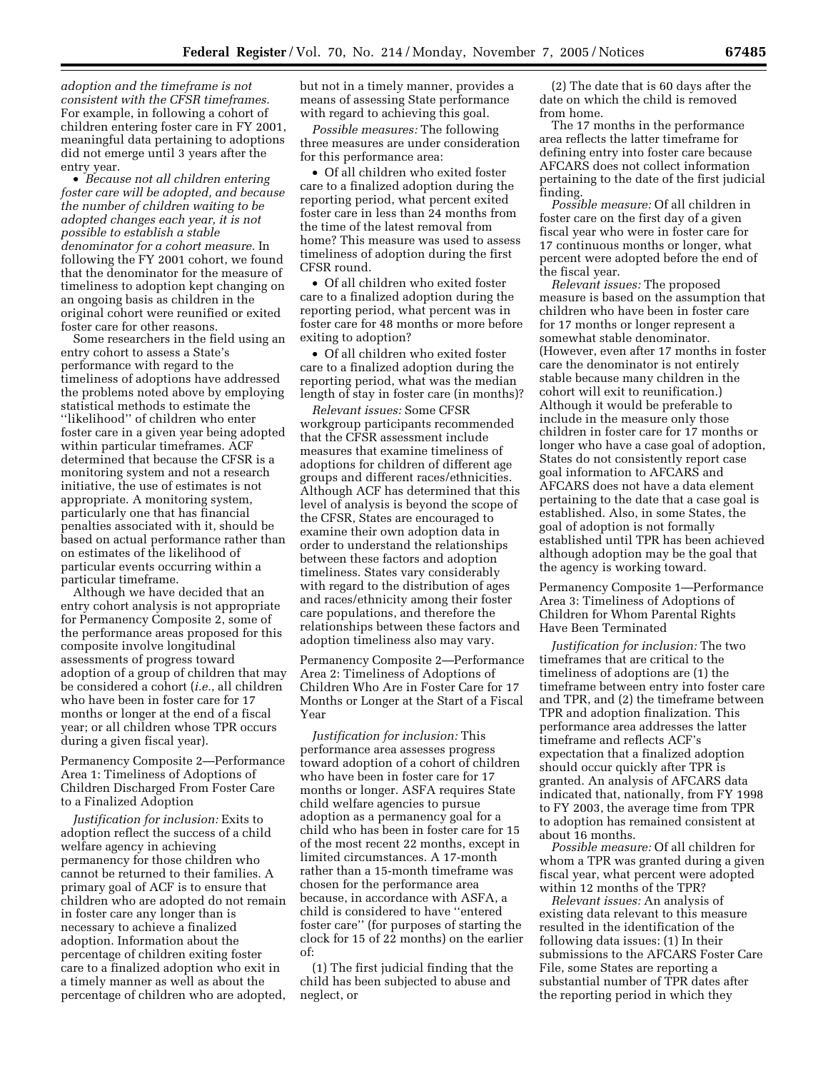*adoption and the timeframe is not consistent with the CFSR timeframes.*  For example, in following a cohort of children entering foster care in FY 2001, meaningful data pertaining to adoptions did not emerge until 3 years after the entry year.

• *Because not all children entering foster care will be adopted, and because the number of children waiting to be adopted changes each year, it is not possible to establish a stable denominator for a cohort measure.* In following the FY 2001 cohort, we found that the denominator for the measure of timeliness to adoption kept changing on an ongoing basis as children in the original cohort were reunified or exited foster care for other reasons.

Some researchers in the field using an entry cohort to assess a State's performance with regard to the timeliness of adoptions have addressed the problems noted above by employing statistical methods to estimate the ''likelihood'' of children who enter foster care in a given year being adopted within particular timeframes. ACF determined that because the CFSR is a monitoring system and not a research initiative, the use of estimates is not appropriate. A monitoring system, particularly one that has financial penalties associated with it, should be based on actual performance rather than on estimates of the likelihood of particular events occurring within a particular timeframe.

Although we have decided that an entry cohort analysis is not appropriate for Permanency Composite 2, some of the performance areas proposed for this composite involve longitudinal assessments of progress toward adoption of a group of children that may be considered a cohort (*i.e.*, all children who have been in foster care for 17 months or longer at the end of a fiscal year; or all children whose TPR occurs during a given fiscal year).

Permanency Composite 2—Performance Area 1: Timeliness of Adoptions of Children Discharged From Foster Care to a Finalized Adoption

*Justification for inclusion:* Exits to adoption reflect the success of a child welfare agency in achieving permanency for those children who cannot be returned to their families. A primary goal of ACF is to ensure that children who are adopted do not remain in foster care any longer than is necessary to achieve a finalized adoption. Information about the percentage of children exiting foster care to a finalized adoption who exit in a timely manner as well as about the percentage of children who are adopted, but not in a timely manner, provides a means of assessing State performance with regard to achieving this goal.

*Possible measures:* The following three measures are under consideration for this performance area:

• Of all children who exited foster care to a finalized adoption during the reporting period, what percent exited foster care in less than 24 months from the time of the latest removal from home? This measure was used to assess timeliness of adoption during the first CFSR round.

• Of all children who exited foster care to a finalized adoption during the reporting period, what percent was in foster care for 48 months or more before exiting to adoption?

• Of all children who exited foster care to a finalized adoption during the reporting period, what was the median length of stay in foster care (in months)?

*Relevant issues:* Some CFSR workgroup participants recommended that the CFSR assessment include measures that examine timeliness of adoptions for children of different age groups and different races/ethnicities. Although ACF has determined that this level of analysis is beyond the scope of the CFSR, States are encouraged to examine their own adoption data in order to understand the relationships between these factors and adoption timeliness. States vary considerably with regard to the distribution of ages and races/ethnicity among their foster care populations, and therefore the relationships between these factors and adoption timeliness also may vary.

Permanency Composite 2—Performance Area 2: Timeliness of Adoptions of Children Who Are in Foster Care for 17 Months or Longer at the Start of a Fiscal Year

*Justification for inclusion:* This performance area assesses progress toward adoption of a cohort of children who have been in foster care for 17 months or longer. ASFA requires State child welfare agencies to pursue adoption as a permanency goal for a child who has been in foster care for 15 of the most recent 22 months, except in limited circumstances. A 17-month rather than a 15-month timeframe was chosen for the performance area because, in accordance with ASFA, a child is considered to have ''entered foster care'' (for purposes of starting the clock for 15 of 22 months) on the earlier of:

(1) The first judicial finding that the child has been subjected to abuse and neglect, or

(2) The date that is 60 days after the date on which the child is removed from home.

The 17 months in the performance area reflects the latter timeframe for defining entry into foster care because AFCARS does not collect information pertaining to the date of the first judicial finding.

*Possible measure:* Of all children in foster care on the first day of a given fiscal year who were in foster care for 17 continuous months or longer, what percent were adopted before the end of the fiscal year.

*Relevant issues:* The proposed measure is based on the assumption that children who have been in foster care for 17 months or longer represent a somewhat stable denominator. (However, even after 17 months in foster care the denominator is not entirely stable because many children in the cohort will exit to reunification.) Although it would be preferable to include in the measure only those children in foster care for 17 months or longer who have a case goal of adoption, States do not consistently report case goal information to AFCARS and AFCARS does not have a data element pertaining to the date that a case goal is established. Also, in some States, the goal of adoption is not formally established until TPR has been achieved although adoption may be the goal that the agency is working toward.

Permanency Composite 1—Performance Area 3: Timeliness of Adoptions of Children for Whom Parental Rights Have Been Terminated

*Justification for inclusion:* The two timeframes that are critical to the timeliness of adoptions are (1) the timeframe between entry into foster care and TPR, and (2) the timeframe between TPR and adoption finalization. This performance area addresses the latter timeframe and reflects ACF's expectation that a finalized adoption should occur quickly after TPR is granted. An analysis of AFCARS data indicated that, nationally, from FY 1998 to FY 2003, the average time from TPR to adoption has remained consistent at about 16 months.

*Possible measure:* Of all children for whom a TPR was granted during a given fiscal year, what percent were adopted within 12 months of the TPR?

*Relevant issues:* An analysis of existing data relevant to this measure resulted in the identification of the following data issues: (1) In their submissions to the AFCARS Foster Care File, some States are reporting a substantial number of TPR dates after the reporting period in which they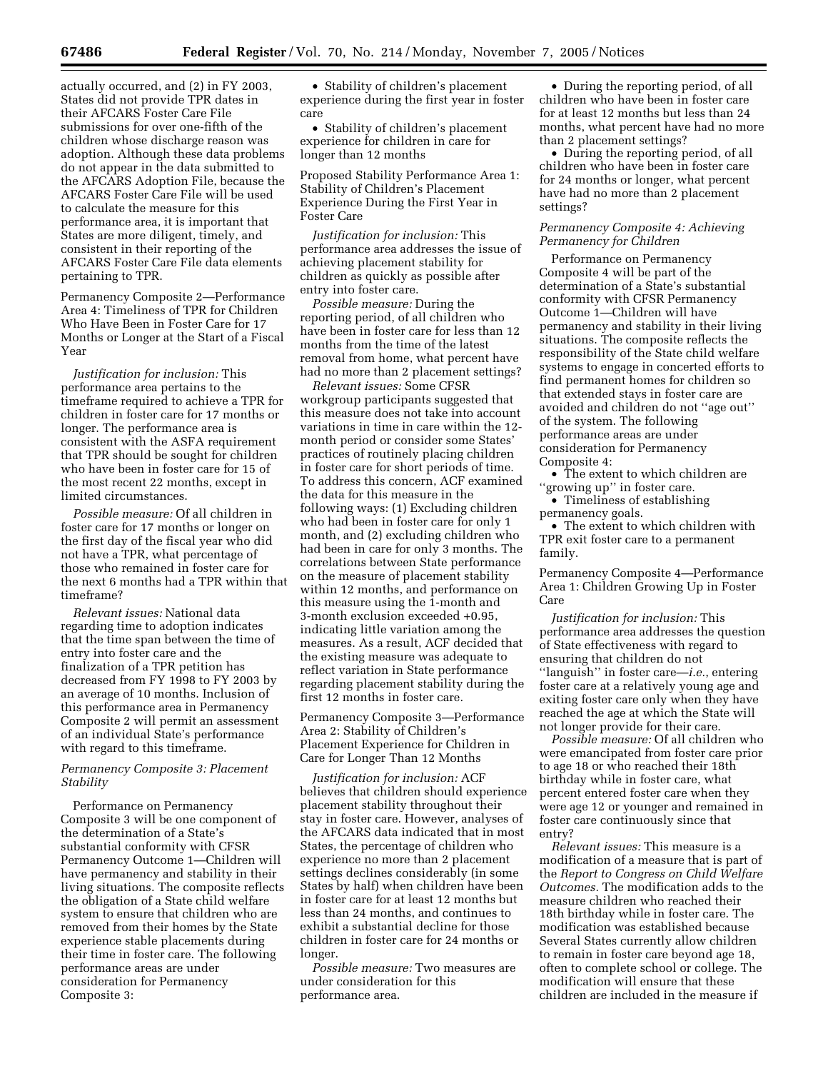actually occurred, and (2) in FY 2003, States did not provide TPR dates in their AFCARS Foster Care File submissions for over one-fifth of the children whose discharge reason was adoption. Although these data problems do not appear in the data submitted to the AFCARS Adoption File, because the AFCARS Foster Care File will be used to calculate the measure for this performance area, it is important that States are more diligent, timely, and consistent in their reporting of the AFCARS Foster Care File data elements pertaining to TPR.

Permanency Composite 2—Performance Area 4: Timeliness of TPR for Children Who Have Been in Foster Care for 17 Months or Longer at the Start of a Fiscal Year

*Justification for inclusion:* This performance area pertains to the timeframe required to achieve a TPR for children in foster care for 17 months or longer. The performance area is consistent with the ASFA requirement that TPR should be sought for children who have been in foster care for 15 of the most recent 22 months, except in limited circumstances.

*Possible measure:* Of all children in foster care for 17 months or longer on the first day of the fiscal year who did not have a TPR, what percentage of those who remained in foster care for the next 6 months had a TPR within that timeframe?

*Relevant issues:* National data regarding time to adoption indicates that the time span between the time of entry into foster care and the finalization of a TPR petition has decreased from FY 1998 to FY 2003 by an average of 10 months. Inclusion of this performance area in Permanency Composite 2 will permit an assessment of an individual State's performance with regard to this timeframe.

## *Permanency Composite 3: Placement Stability*

Performance on Permanency Composite 3 will be one component of the determination of a State's substantial conformity with CFSR Permanency Outcome 1—Children will have permanency and stability in their living situations. The composite reflects the obligation of a State child welfare system to ensure that children who are removed from their homes by the State experience stable placements during their time in foster care. The following performance areas are under consideration for Permanency Composite 3:

• Stability of children's placement experience during the first year in foster care

• Stability of children's placement experience for children in care for longer than 12 months

Proposed Stability Performance Area 1: Stability of Children's Placement Experience During the First Year in Foster Care

*Justification for inclusion:* This performance area addresses the issue of achieving placement stability for children as quickly as possible after entry into foster care.

*Possible measure:* During the reporting period, of all children who have been in foster care for less than 12 months from the time of the latest removal from home, what percent have had no more than 2 placement settings?

*Relevant issues:* Some CFSR workgroup participants suggested that this measure does not take into account variations in time in care within the 12 month period or consider some States' practices of routinely placing children in foster care for short periods of time. To address this concern, ACF examined the data for this measure in the following ways: (1) Excluding children who had been in foster care for only 1 month, and (2) excluding children who had been in care for only 3 months. The correlations between State performance on the measure of placement stability within 12 months, and performance on this measure using the 1-month and 3-month exclusion exceeded +0.95, indicating little variation among the measures. As a result, ACF decided that the existing measure was adequate to reflect variation in State performance regarding placement stability during the first 12 months in foster care.

Permanency Composite 3—Performance Area 2: Stability of Children's Placement Experience for Children in Care for Longer Than 12 Months

*Justification for inclusion:* ACF believes that children should experience placement stability throughout their stay in foster care. However, analyses of the AFCARS data indicated that in most States, the percentage of children who experience no more than 2 placement settings declines considerably (in some States by half) when children have been in foster care for at least 12 months but less than 24 months, and continues to exhibit a substantial decline for those children in foster care for 24 months or longer.

*Possible measure:* Two measures are under consideration for this performance area.

• During the reporting period, of all children who have been in foster care for at least 12 months but less than 24 months, what percent have had no more than 2 placement settings?

• During the reporting period, of all children who have been in foster care for 24 months or longer, what percent have had no more than 2 placement settings?

## *Permanency Composite 4: Achieving Permanency for Children*

Performance on Permanency Composite 4 will be part of the determination of a State's substantial conformity with CFSR Permanency Outcome 1—Children will have permanency and stability in their living situations. The composite reflects the responsibility of the State child welfare systems to engage in concerted efforts to find permanent homes for children so that extended stays in foster care are avoided and children do not ''age out'' of the system. The following performance areas are under consideration for Permanency Composite 4:

• The extent to which children are ''growing up'' in foster care.

• Timeliness of establishing permanency goals.

• The extent to which children with TPR exit foster care to a permanent family.

Permanency Composite 4—Performance Area 1: Children Growing Up in Foster Care

*Justification for inclusion:* This performance area addresses the question of State effectiveness with regard to ensuring that children do not ''languish'' in foster care—*i.e.*, entering foster care at a relatively young age and exiting foster care only when they have reached the age at which the State will not longer provide for their care.

*Possible measure:* Of all children who were emancipated from foster care prior to age 18 or who reached their 18th birthday while in foster care, what percent entered foster care when they were age 12 or younger and remained in foster care continuously since that entry?

*Relevant issues:* This measure is a modification of a measure that is part of the *Report to Congress on Child Welfare Outcomes.* The modification adds to the measure children who reached their 18th birthday while in foster care. The modification was established because Several States currently allow children to remain in foster care beyond age 18, often to complete school or college. The modification will ensure that these children are included in the measure if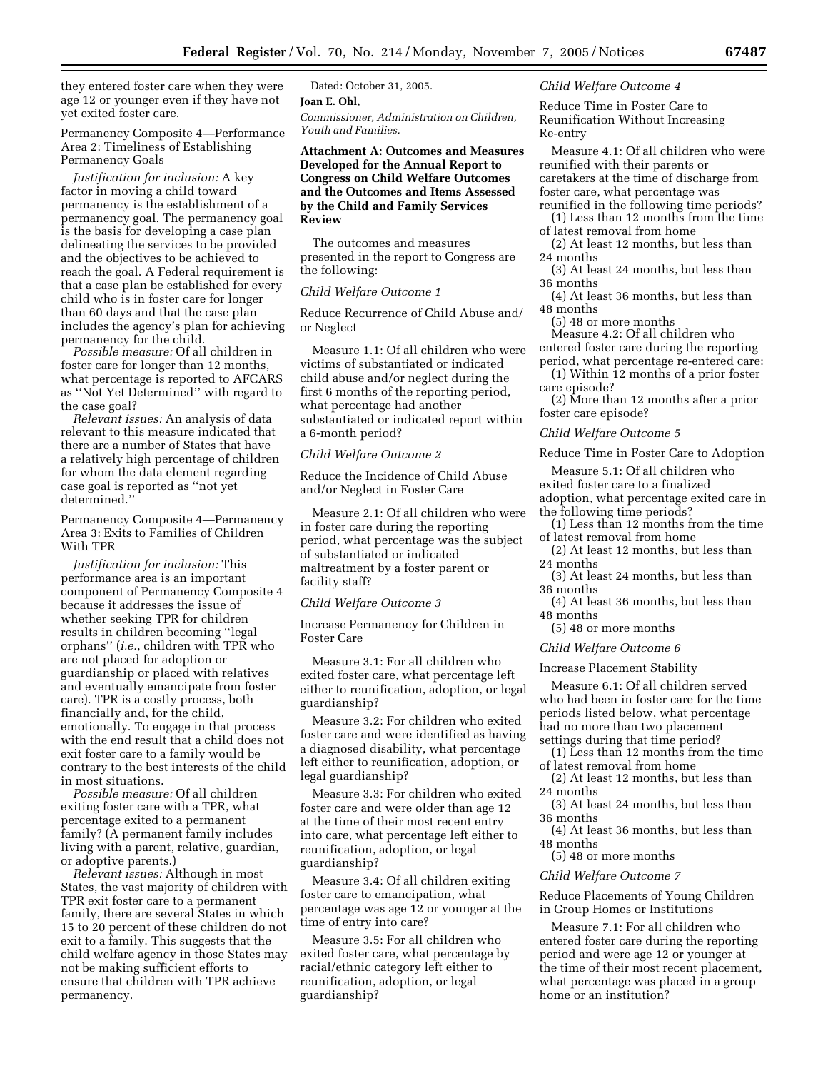they entered foster care when they were age 12 or younger even if they have not yet exited foster care.

Permanency Composite 4—Performance Area 2: Timeliness of Establishing Permanency Goals

*Justification for inclusion:* A key factor in moving a child toward permanency is the establishment of a permanency goal. The permanency goal is the basis for developing a case plan delineating the services to be provided and the objectives to be achieved to reach the goal. A Federal requirement is that a case plan be established for every child who is in foster care for longer than 60 days and that the case plan includes the agency's plan for achieving permanency for the child.

*Possible measure:* Of all children in foster care for longer than 12 months, what percentage is reported to AFCARS as ''Not Yet Determined'' with regard to the case goal?

*Relevant issues:* An analysis of data relevant to this measure indicated that there are a number of States that have a relatively high percentage of children for whom the data element regarding case goal is reported as ''not yet determined.''

Permanency Composite 4—Permanency Area 3: Exits to Families of Children With TPR

*Justification for inclusion:* This performance area is an important component of Permanency Composite 4 because it addresses the issue of whether seeking TPR for children results in children becoming ''legal orphans'' (*i.e.*, children with TPR who are not placed for adoption or guardianship or placed with relatives and eventually emancipate from foster care). TPR is a costly process, both financially and, for the child, emotionally. To engage in that process with the end result that a child does not exit foster care to a family would be contrary to the best interests of the child in most situations.

*Possible measure:* Of all children exiting foster care with a TPR, what percentage exited to a permanent family? (A permanent family includes living with a parent, relative, guardian, or adoptive parents.)

*Relevant issues:* Although in most States, the vast majority of children with TPR exit foster care to a permanent family, there are several States in which 15 to 20 percent of these children do not exit to a family. This suggests that the child welfare agency in those States may not be making sufficient efforts to ensure that children with TPR achieve permanency.

Dated: October 31, 2005. **Joan E. Ohl,**  *Commissioner, Administration on Children, Youth and Families.* 

## **Attachment A: Outcomes and Measures Developed for the Annual Report to Congress on Child Welfare Outcomes and the Outcomes and Items Assessed by the Child and Family Services Review**

The outcomes and measures presented in the report to Congress are the following:

## *Child Welfare Outcome 1*

Reduce Recurrence of Child Abuse and/ or Neglect

Measure 1.1: Of all children who were victims of substantiated or indicated child abuse and/or neglect during the first 6 months of the reporting period, what percentage had another substantiated or indicated report within a 6-month period?

## *Child Welfare Outcome 2*

Reduce the Incidence of Child Abuse and/or Neglect in Foster Care

Measure 2.1: Of all children who were in foster care during the reporting period, what percentage was the subject of substantiated or indicated maltreatment by a foster parent or facility staff?

#### *Child Welfare Outcome 3*

Increase Permanency for Children in Foster Care

Measure 3.1: For all children who exited foster care, what percentage left either to reunification, adoption, or legal guardianship?

Measure 3.2: For children who exited foster care and were identified as having a diagnosed disability, what percentage left either to reunification, adoption, or legal guardianship?

Measure 3.3: For children who exited foster care and were older than age 12 at the time of their most recent entry into care, what percentage left either to reunification, adoption, or legal guardianship?

Measure 3.4: Of all children exiting foster care to emancipation, what percentage was age 12 or younger at the time of entry into care?

Measure 3.5: For all children who exited foster care, what percentage by racial/ethnic category left either to reunification, adoption, or legal guardianship?

*Child Welfare Outcome 4* 

Reduce Time in Foster Care to Reunification Without Increasing Re-entry

Measure 4.1: Of all children who were reunified with their parents or caretakers at the time of discharge from foster care, what percentage was

- reunified in the following time periods? (1) Less than 12 months from the time of latest removal from home
- (2) At least 12 months, but less than 24 months
- (3) At least 24 months, but less than 36 months
- (4) At least 36 months, but less than 48 months
	- (5) 48 or more months
- Measure 4.2: Of all children who entered foster care during the reporting period, what percentage re-entered care:
- (1) Within 12 months of a prior foster care episode?

(2) More than 12 months after a prior foster care episode?

#### *Child Welfare Outcome 5*

Reduce Time in Foster Care to Adoption

- Measure 5.1: Of all children who exited foster care to a finalized adoption, what percentage exited care in the following time periods?
- (1) Less than 12 months from the time of latest removal from home
- (2) At least 12 months, but less than 24 months
- (3) At least 24 months, but less than 36 months
- (4) At least 36 months, but less than 48 months
	- (5) 48 or more months

## *Child Welfare Outcome 6*

#### Increase Placement Stability

Measure 6.1: Of all children served who had been in foster care for the time periods listed below, what percentage had no more than two placement settings during that time period?

- (1) Less than 12 months from the time of latest removal from home
- (2) At least 12 months, but less than 24 months
- (3) At least 24 months, but less than 36 months
- (4) At least 36 months, but less than 48 months
- (5) 48 or more months

## *Child Welfare Outcome 7*

Reduce Placements of Young Children in Group Homes or Institutions

Measure 7.1: For all children who entered foster care during the reporting period and were age 12 or younger at the time of their most recent placement, what percentage was placed in a group home or an institution?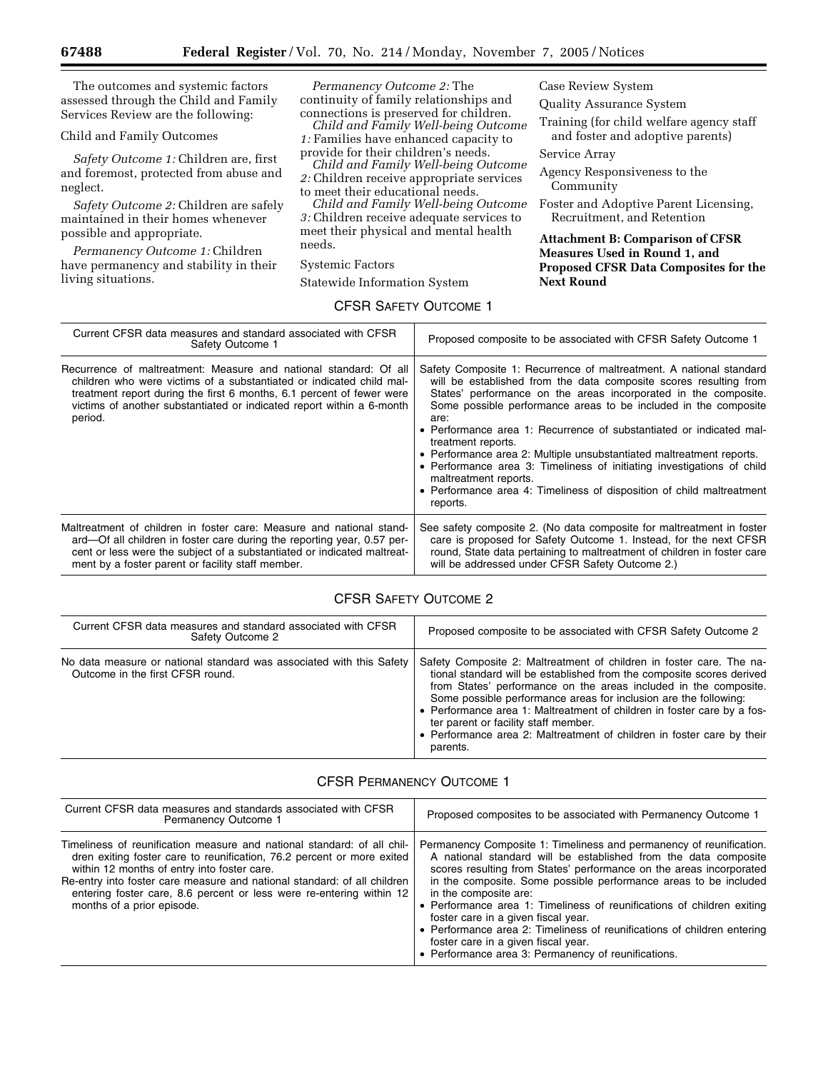The outcomes and systemic factors assessed through the Child and Family Services Review are the following:

Child and Family Outcomes

*Safety Outcome 1:* Children are, first and foremost, protected from abuse and neglect.

*Safety Outcome 2:* Children are safely maintained in their homes whenever possible and appropriate.

*Permanency Outcome 1:* Children have permanency and stability in their living situations.

*Permanency Outcome 2:* The continuity of family relationships and connections is preserved for children.

*Child and Family Well-being Outcome 1:* Families have enhanced capacity to provide for their children's needs.

*Child and Family Well-being Outcome 2:* Children receive appropriate services

to meet their educational needs. *Child and Family Well-being Outcome* 

*3:* Children receive adequate services to meet their physical and mental health needs.

CFSR SAFETY OUTCOME 1

Systemic Factors

Statewide Information System

Case Review System

Quality Assurance System

Training (for child welfare agency staff and foster and adoptive parents)

Service Array

Agency Responsiveness to the **Community** 

Foster and Adoptive Parent Licensing, Recruitment, and Retention

**Attachment B: Comparison of CFSR Measures Used in Round 1, and Proposed CFSR Data Composites for the Next Round** 

| Current CFSR data measures and standard associated with CFSR<br>Safety Outcome 1                                                                                                                                                                                                                       | Proposed composite to be associated with CFSR Safety Outcome 1                                                                                                                                                                                                                                                                                                                                                                                                                                                                                                                                                                                      |
|--------------------------------------------------------------------------------------------------------------------------------------------------------------------------------------------------------------------------------------------------------------------------------------------------------|-----------------------------------------------------------------------------------------------------------------------------------------------------------------------------------------------------------------------------------------------------------------------------------------------------------------------------------------------------------------------------------------------------------------------------------------------------------------------------------------------------------------------------------------------------------------------------------------------------------------------------------------------------|
| Recurrence of maltreatment: Measure and national standard: Of all<br>children who were victims of a substantiated or indicated child mal-<br>treatment report during the first 6 months, 6.1 percent of fewer were<br>victims of another substantiated or indicated report within a 6-month<br>period. | Safety Composite 1: Recurrence of maltreatment. A national standard<br>will be established from the data composite scores resulting from<br>States' performance on the areas incorporated in the composite.<br>Some possible performance areas to be included in the composite<br>are:<br>• Performance area 1: Recurrence of substantiated or indicated mal-<br>treatment reports.<br>• Performance area 2: Multiple unsubstantiated maltreatment reports.<br>• Performance area 3: Timeliness of initiating investigations of child<br>maltreatment reports.<br>• Performance area 4: Timeliness of disposition of child maltreatment<br>reports. |
| Maltreatment of children in foster care: Measure and national stand-<br>ard—Of all children in foster care during the reporting year, 0.57 per-<br>cent or less were the subject of a substantiated or indicated maltreat-<br>ment by a foster parent or facility staff member.                        | See safety composite 2. (No data composite for maltreatment in foster<br>care is proposed for Safety Outcome 1. Instead, for the next CFSR<br>round, State data pertaining to maltreatment of children in foster care<br>will be addressed under CFSR Safety Outcome 2.)                                                                                                                                                                                                                                                                                                                                                                            |

# CFSR SAFETY OUTCOME 2

| Current CFSR data measures and standard associated with CFSR<br>Safety Outcome 2                         | Proposed composite to be associated with CFSR Safety Outcome 2                                                                                                                                                                                                                                                                                                                                                                                                                                 |
|----------------------------------------------------------------------------------------------------------|------------------------------------------------------------------------------------------------------------------------------------------------------------------------------------------------------------------------------------------------------------------------------------------------------------------------------------------------------------------------------------------------------------------------------------------------------------------------------------------------|
| No data measure or national standard was associated with this Safety<br>Outcome in the first CFSR round. | Safety Composite 2: Maltreatment of children in foster care. The na-<br>tional standard will be established from the composite scores derived<br>from States' performance on the areas included in the composite.<br>Some possible performance areas for inclusion are the following:<br>• Performance area 1: Maltreatment of children in foster care by a fos-<br>ter parent or facility staff member.<br>• Performance area 2: Maltreatment of children in foster care by their<br>parents. |

## CFSR PERMANENCY OUTCOME 1

| Current CFSR data measures and standards associated with CFSR<br><b>Permanency Outcome 1</b>                                                                                                                                                                                                                                                                                       | Proposed composites to be associated with Permanency Outcome 1                                                                                                                                                                                                                                                                                                                                                                                                                                                                                                                                       |
|------------------------------------------------------------------------------------------------------------------------------------------------------------------------------------------------------------------------------------------------------------------------------------------------------------------------------------------------------------------------------------|------------------------------------------------------------------------------------------------------------------------------------------------------------------------------------------------------------------------------------------------------------------------------------------------------------------------------------------------------------------------------------------------------------------------------------------------------------------------------------------------------------------------------------------------------------------------------------------------------|
| Timeliness of reunification measure and national standard: of all chil-<br>dren exiting foster care to reunification, 76.2 percent or more exited<br>within 12 months of entry into foster care.<br>Re-entry into foster care measure and national standard: of all children<br>entering foster care, 8.6 percent or less were re-entering within 12<br>months of a prior episode. | Permanency Composite 1: Timeliness and permanency of reunification.<br>A national standard will be established from the data composite<br>scores resulting from States' performance on the areas incorporated<br>in the composite. Some possible performance areas to be included<br>in the composite are:<br>• Performance area 1: Timeliness of reunifications of children exiting<br>foster care in a given fiscal year.<br>• Performance area 2: Timeliness of reunifications of children entering<br>foster care in a given fiscal year.<br>• Performance area 3: Permanency of reunifications. |